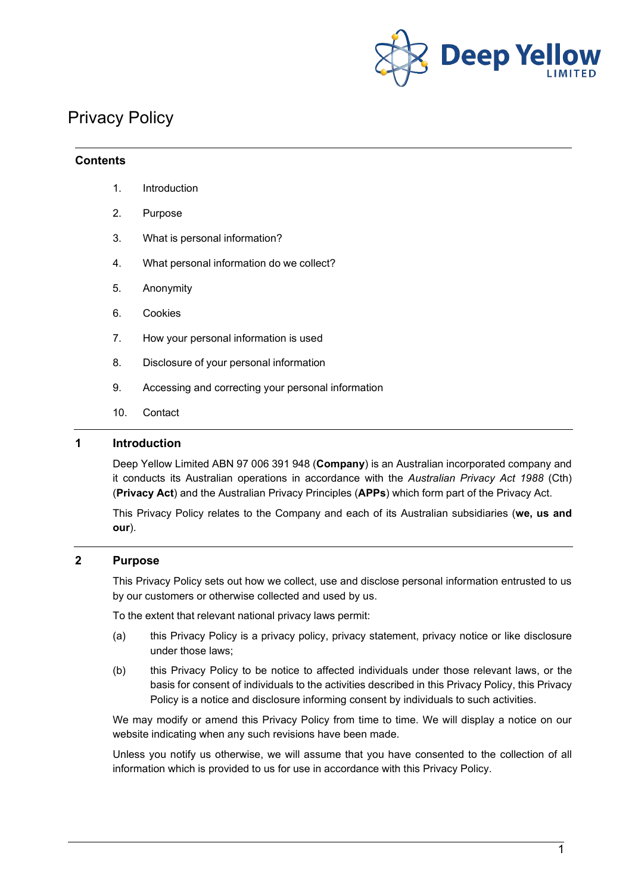

# Privacy Policy

#### **Contents**

- 1. Introduction
- 2. Purpose
- 3. What is personal information?
- 4. What personal information do we collect?
- 5. Anonymity
- 6. Cookies
- 7. How your personal information is used
- 8. Disclosure of your personal information
- 9. Accessing and correcting your personal information
- 10. Contact

## **1 Introduction**

Deep Yellow Limited ABN 97 006 391 948 (**Company**) is an Australian incorporated company and it conducts its Australian operations in accordance with the *Australian Privacy Act 1988* (Cth) (**Privacy Act**) and the Australian Privacy Principles (**APPs**) which form part of the Privacy Act.

This Privacy Policy relates to the Company and each of its Australian subsidiaries (**we, us and our**).

#### **2 Purpose**

This Privacy Policy sets out how we collect, use and disclose personal information entrusted to us by our customers or otherwise collected and used by us.

To the extent that relevant national privacy laws permit:

- (a) this Privacy Policy is a privacy policy, privacy statement, privacy notice or like disclosure under those laws;
- (b) this Privacy Policy to be notice to affected individuals under those relevant laws, or the basis for consent of individuals to the activities described in this Privacy Policy, this Privacy Policy is a notice and disclosure informing consent by individuals to such activities.

We may modify or amend this Privacy Policy from time to time. We will display a notice on our website indicating when any such revisions have been made.

Unless you notify us otherwise, we will assume that you have consented to the collection of all information which is provided to us for use in accordance with this Privacy Policy.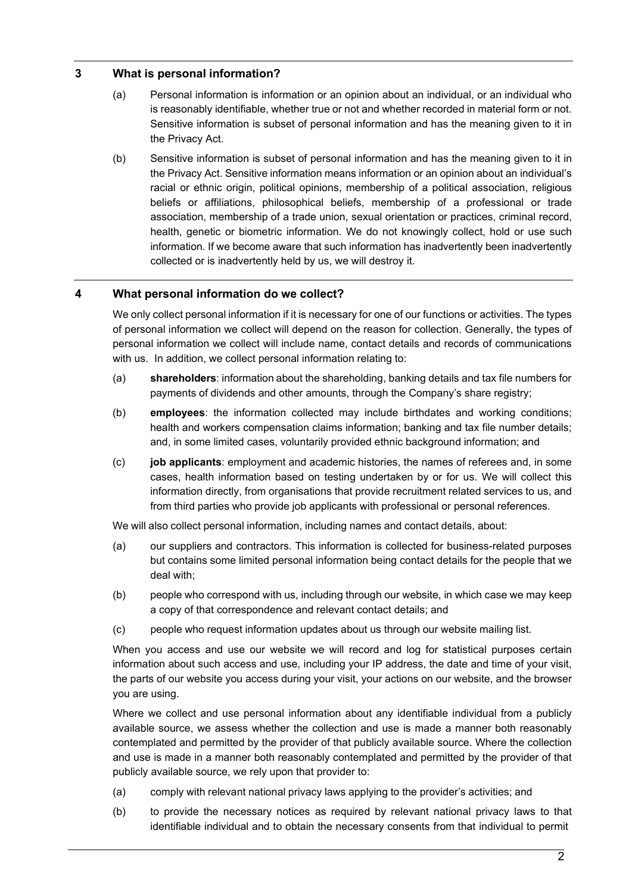# **3 What is personal information?**

- (a) Personal information is information or an opinion about an individual, or an individual who is reasonably identifiable, whether true or not and whether recorded in material form or not. Sensitive information is subset of personal information and has the meaning given to it in the Privacy Act.
- (b) Sensitive information is subset of personal information and has the meaning given to it in the Privacy Act. Sensitive information means information or an opinion about an individual's racial or ethnic origin, political opinions, membership of a political association, religious beliefs or affiliations, philosophical beliefs, membership of a professional or trade association, membership of a trade union, sexual orientation or practices, criminal record, health, genetic or biometric information. We do not knowingly collect, hold or use such information. If we become aware that such information has inadvertently been inadvertently collected or is inadvertently held by us, we will destroy it.

# **4 What personal information do we collect?**

We only collect personal information if it is necessary for one of our functions or activities. The types of personal information we collect will depend on the reason for collection. Generally, the types of personal information we collect will include name, contact details and records of communications with us. In addition, we collect personal information relating to:

- (a) **shareholders**: information about the shareholding, banking details and tax file numbers for payments of dividends and other amounts, through the Company's share registry;
- (b) **employees**: the information collected may include birthdates and working conditions; health and workers compensation claims information; banking and tax file number details; and, in some limited cases, voluntarily provided ethnic background information; and
- (c) **job applicants**: employment and academic histories, the names of referees and, in some cases, health information based on testing undertaken by or for us. We will collect this information directly, from organisations that provide recruitment related services to us, and from third parties who provide job applicants with professional or personal references.

We will also collect personal information, including names and contact details, about:

- (a) our suppliers and contractors. This information is collected for business-related purposes but contains some limited personal information being contact details for the people that we deal with;
- (b) people who correspond with us, including through our website, in which case we may keep a copy of that correspondence and relevant contact details; and
- (c) people who request information updates about us through our website mailing list.

When you access and use our website we will record and log for statistical purposes certain information about such access and use, including your IP address, the date and time of your visit, the parts of our website you access during your visit, your actions on our website, and the browser you are using.

Where we collect and use personal information about any identifiable individual from a publicly available source, we assess whether the collection and use is made a manner both reasonably contemplated and permitted by the provider of that publicly available source. Where the collection and use is made in a manner both reasonably contemplated and permitted by the provider of that publicly available source, we rely upon that provider to:

- (a) comply with relevant national privacy laws applying to the provider's activities; and
- (b) to provide the necessary notices as required by relevant national privacy laws to that identifiable individual and to obtain the necessary consents from that individual to permit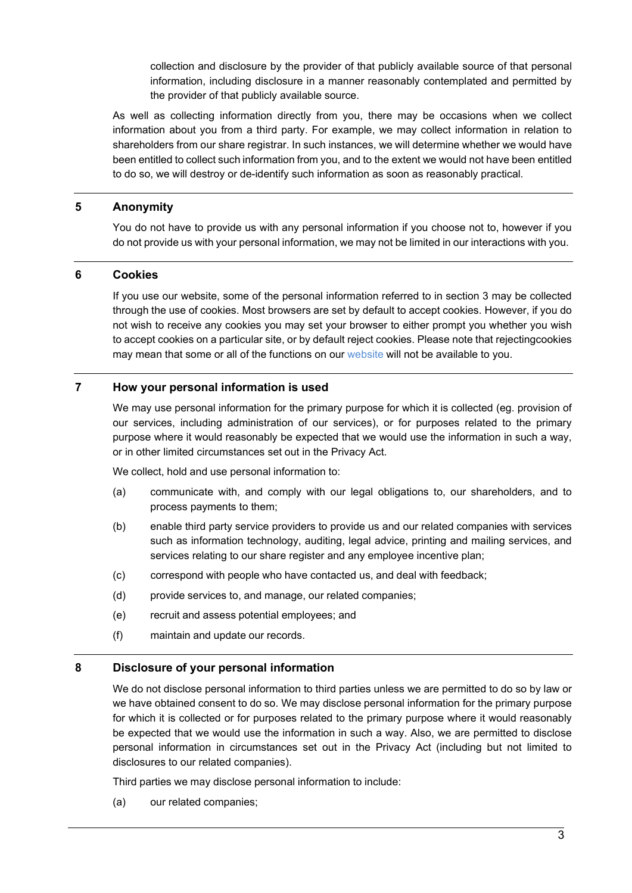collection and disclosure by the provider of that publicly available source of that personal information, including disclosure in a manner reasonably contemplated and permitted by the provider of that publicly available source.

As well as collecting information directly from you, there may be occasions when we collect information about you from a third party. For example, we may collect information in relation to shareholders from our share registrar. In such instances, we will determine whether we would have been entitled to collect such information from you, and to the extent we would not have been entitled to do so, we will destroy or de-identify such information as soon as reasonably practical.

#### **5 Anonymity**

You do not have to provide us with any personal information if you choose not to, however if you do not provide us with your personal information, we may not be limited in our interactions with you.

## **6 Cookies**

If you use our website, some of the personal information referred to in section 3 may be collected through the use of cookies. Most browsers are set by default to accept cookies. However, if you do not wish to receive any cookies you may set your browser to either prompt you whether you wish to accept cookies on a particular site, or by default reject cookies. Please note that rejectingcookies may mean that some or all of the functions on our [website](http://www.deepyellow.com.au/index.html) will not be available to you.

# **7 How your personal information is used**

We may use personal information for the primary purpose for which it is collected (eg. provision of our services, including administration of our services), or for purposes related to the primary purpose where it would reasonably be expected that we would use the information in such a way, or in other limited circumstances set out in the Privacy Act.

We collect, hold and use personal information to:

- (a) communicate with, and comply with our legal obligations to, our shareholders, and to process payments to them;
- (b) enable third party service providers to provide us and our related companies with services such as information technology, auditing, legal advice, printing and mailing services, and services relating to our share register and any employee incentive plan;
- (c) correspond with people who have contacted us, and deal with feedback;
- (d) provide services to, and manage, our related companies;
- (e) recruit and assess potential employees; and
- (f) maintain and update our records.

#### **8 Disclosure of your personal information**

We do not disclose personal information to third parties unless we are permitted to do so by law or we have obtained consent to do so. We may disclose personal information for the primary purpose for which it is collected or for purposes related to the primary purpose where it would reasonably be expected that we would use the information in such a way. Also, we are permitted to disclose personal information in circumstances set out in the Privacy Act (including but not limited to disclosures to our related companies).

Third parties we may disclose personal information to include:

(a) our related companies;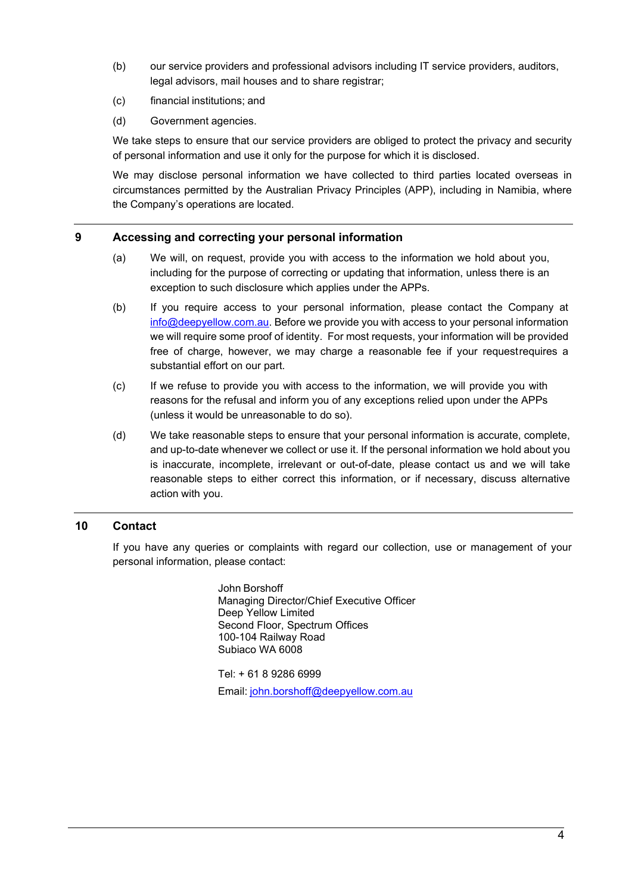- (b) our service providers and professional advisors including IT service providers, auditors, legal advisors, mail houses and to share registrar;
- (c) financial institutions; and
- (d) Government agencies.

We take steps to ensure that our service providers are obliged to protect the privacy and security of personal information and use it only for the purpose for which it is disclosed.

We may disclose personal information we have collected to third parties located overseas in circumstances permitted by the Australian Privacy Principles (APP), including in Namibia, where the Company's operations are located.

#### **9 Accessing and correcting your personal information**

- (a) We will, on request, provide you with access to the information we hold about you, including for the purpose of correcting or updating that information, unless there is an exception to such disclosure which applies under the APPs.
- (b) If you require access to your personal information, please contact the Company at [info@deepyellow.com.au. B](mailto:info@deepyellow.com.au)efore we provide you with access to your personal information we will require some proof of identity. For most requests, your information will be provided free of charge, however, we may charge a reasonable fee if your requestrequires a substantial effort on our part.
- (c) If we refuse to provide you with access to the information, we will provide you with reasons for the refusal and inform you of any exceptions relied upon under the APPs (unless it would be unreasonable to do so).
- (d) We take reasonable steps to ensure that your personal information is accurate, complete, and up-to-date whenever we collect or use it. If the personal information we hold about you is inaccurate, incomplete, irrelevant or out-of-date, please contact us and we will take reasonable steps to either correct this information, or if necessary, discuss alternative action with you.

# **10 Contact**

If you have any queries or complaints with regard our collection, use or management of your personal information, please contact:

> John Borshoff Managing Director/Chief Executive Officer Deep Yellow Limited Second Floor, Spectrum Offices 100-104 Railway Road Subiaco WA 6008

> Tel: + 61 8 9286 6999 Email: [john.borshoff@deepyellow.com.au](mailto:john.borshoff@deepyellow.com.au)